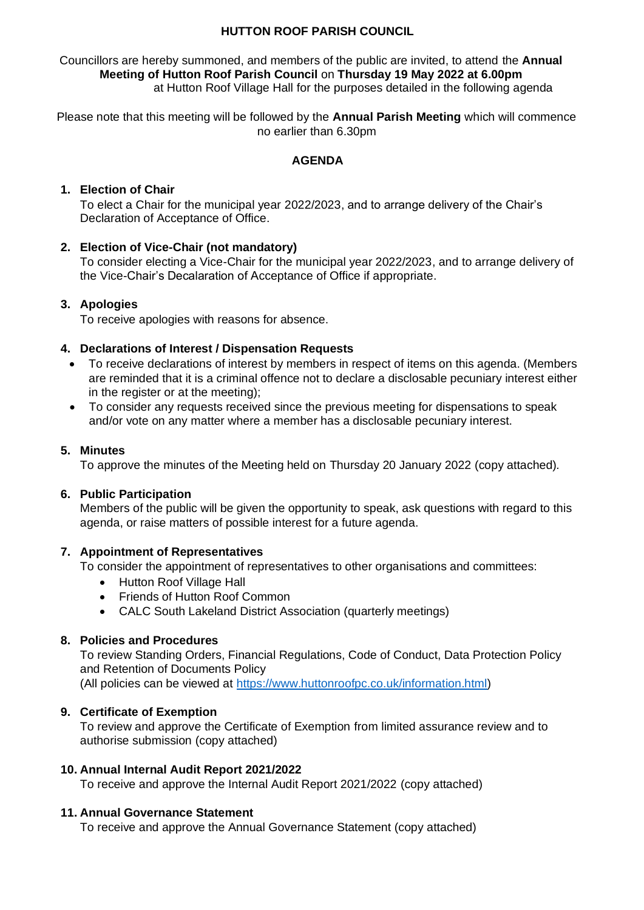## **HUTTON ROOF PARISH COUNCIL**

Councillors are hereby summoned, and members of the public are invited, to attend the **Annual Meeting of Hutton Roof Parish Council** on **Thursday 19 May 2022 at 6.00pm**  at Hutton Roof Village Hall for the purposes detailed in the following agenda

Please note that this meeting will be followed by the **Annual Parish Meeting** which will commence no earlier than 6.30pm

## **AGENDA**

## **1. Election of Chair**

To elect a Chair for the municipal year 2022/2023, and to arrange delivery of the Chair's Declaration of Acceptance of Office.

## **2. Election of Vice-Chair (not mandatory)**

To consider electing a Vice-Chair for the municipal year 2022/2023, and to arrange delivery of the Vice-Chair's Decalaration of Acceptance of Office if appropriate.

## **3. Apologies**

To receive apologies with reasons for absence.

## **4. Declarations of Interest / Dispensation Requests**

- To receive declarations of interest by members in respect of items on this agenda. (Members are reminded that it is a criminal offence not to declare a disclosable pecuniary interest either in the register or at the meeting);
- To consider any requests received since the previous meeting for dispensations to speak and/or vote on any matter where a member has a disclosable pecuniary interest.

#### **5. Minutes**

To approve the minutes of the Meeting held on Thursday 20 January 2022 (copy attached)*.*

#### **6. Public Participation**

Members of the public will be given the opportunity to speak, ask questions with regard to this agenda, or raise matters of possible interest for a future agenda.

#### **7. Appointment of Representatives**

To consider the appointment of representatives to other organisations and committees:

- Hutton Roof Village Hall
- Friends of Hutton Roof Common
- CALC South Lakeland District Association (quarterly meetings)

## **8. Policies and Procedures**

To review Standing Orders, Financial Regulations, Code of Conduct, Data Protection Policy and Retention of Documents Policy (All policies can be viewed at [https://www.huttonroofpc.co.uk/information.html\)](https://www.huttonroofpc.co.uk/information.html)

#### **9. Certificate of Exemption**

To review and approve the Certificate of Exemption from limited assurance review and to authorise submission (copy attached)

#### **10. Annual Internal Audit Report 2021/2022**

To receive and approve the Internal Audit Report 2021/2022 (copy attached)

#### **11. Annual Governance Statement**

To receive and approve the Annual Governance Statement (copy attached)